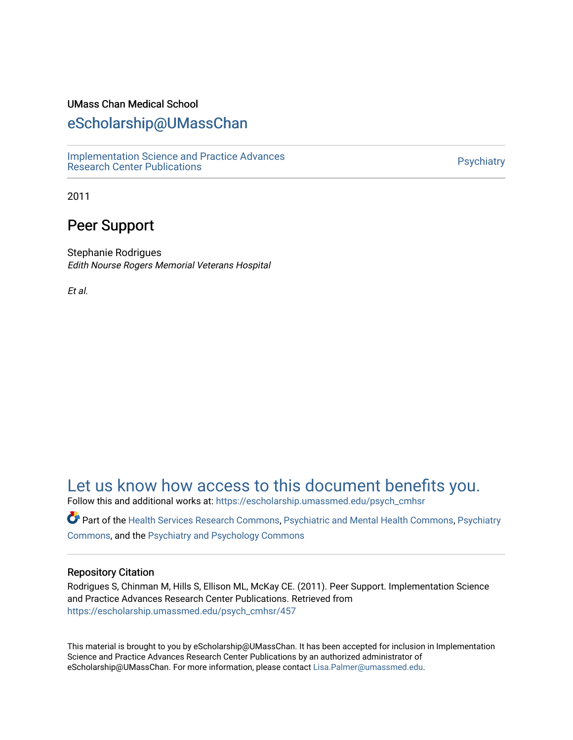#### UMass Chan Medical School

## [eScholarship@UMassChan](https://escholarship.umassmed.edu/)

[Implementation Science and Practice Advances](https://escholarship.umassmed.edu/psych_cmhsr)  niplementation science and Practice Advances<br>Research Center Publications

2011

## Peer Support

Stephanie Rodrigues Edith Nourse Rogers Memorial Veterans Hospital

Et al.

# [Let us know how access to this document benefits you.](https://arcsapps.umassmed.edu/redcap/surveys/?s=XWRHNF9EJE)

Follow this and additional works at: [https://escholarship.umassmed.edu/psych\\_cmhsr](https://escholarship.umassmed.edu/psych_cmhsr?utm_source=escholarship.umassmed.edu%2Fpsych_cmhsr%2F457&utm_medium=PDF&utm_campaign=PDFCoverPages)

Part of the [Health Services Research Commons,](http://network.bepress.com/hgg/discipline/816?utm_source=escholarship.umassmed.edu%2Fpsych_cmhsr%2F457&utm_medium=PDF&utm_campaign=PDFCoverPages) [Psychiatric and Mental Health Commons,](http://network.bepress.com/hgg/discipline/711?utm_source=escholarship.umassmed.edu%2Fpsych_cmhsr%2F457&utm_medium=PDF&utm_campaign=PDFCoverPages) [Psychiatry](http://network.bepress.com/hgg/discipline/704?utm_source=escholarship.umassmed.edu%2Fpsych_cmhsr%2F457&utm_medium=PDF&utm_campaign=PDFCoverPages) [Commons](http://network.bepress.com/hgg/discipline/704?utm_source=escholarship.umassmed.edu%2Fpsych_cmhsr%2F457&utm_medium=PDF&utm_campaign=PDFCoverPages), and the [Psychiatry and Psychology Commons](http://network.bepress.com/hgg/discipline/908?utm_source=escholarship.umassmed.edu%2Fpsych_cmhsr%2F457&utm_medium=PDF&utm_campaign=PDFCoverPages) 

#### Repository Citation

Rodrigues S, Chinman M, Hills S, Ellison ML, McKay CE. (2011). Peer Support. Implementation Science and Practice Advances Research Center Publications. Retrieved from [https://escholarship.umassmed.edu/psych\\_cmhsr/457](https://escholarship.umassmed.edu/psych_cmhsr/457?utm_source=escholarship.umassmed.edu%2Fpsych_cmhsr%2F457&utm_medium=PDF&utm_campaign=PDFCoverPages)

This material is brought to you by eScholarship@UMassChan. It has been accepted for inclusion in Implementation Science and Practice Advances Research Center Publications by an authorized administrator of eScholarship@UMassChan. For more information, please contact [Lisa.Palmer@umassmed.edu](mailto:Lisa.Palmer@umassmed.edu).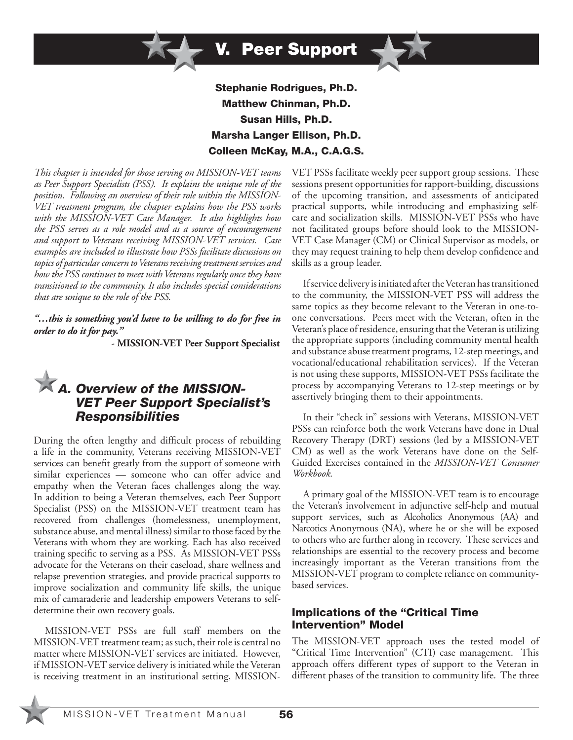

*This chapter is intended for those serving on MISSION-VET teams as Peer Support Specialists (PSS). It explains the unique role of the position. Following an overview of their role within the MISSION-VET treatment program, the chapter explains how the PSS works with the MISSION-VET Case Manager. It also highlights how the PSS serves as a role model and as a source of encouragement and support to Veterans receiving MISSION-VET services. Case examples are included to illustrate how PSSs facilitate discussions on topics of particular concern to Veterans receiving treatment services and how the PSS continues to meet with Veterans regularly once they have transitioned to the community. It also includes special considerations that are unique to the role of the PSS.*

*"…this is something you'd have to be willing to do for free in order to do it for pay."* 

 **- MISSION-VET Peer Support Specialist**

# *A. Overview of the MISSION-VET Peer Support Specialist's Responsibilities*

During the often lengthy and difficult process of rebuilding a life in the community, Veterans receiving MISSION-VET services can benefit greatly from the support of someone with similar experiences — someone who can offer advice and empathy when the Veteran faces challenges along the way. In addition to being a Veteran themselves, each Peer Support Specialist (PSS) on the MISSION-VET treatment team has recovered from challenges (homelessness, unemployment, substance abuse, and mental illness) similar to those faced by the Veterans with whom they are working. Each has also received training specific to serving as a PSS. As MISSION-VET PSSs advocate for the Veterans on their caseload, share wellness and relapse prevention strategies, and provide practical supports to improve socialization and community life skills, the unique mix of camaraderie and leadership empowers Veterans to selfdetermine their own recovery goals.

MISSION-VET PSSs are full staff members on the MISSION-VET treatment team; as such, their role is central no matter where MISSION-VET services are initiated. However, if MISSION-VET service delivery is initiated while the Veteran is receiving treatment in an institutional setting, MISSION- VET PSSs facilitate weekly peer support group sessions. These sessions present opportunities for rapport-building, discussions of the upcoming transition, and assessments of anticipated practical supports, while introducing and emphasizing selfcare and socialization skills. MISSION-VET PSSs who have not facilitated groups before should look to the MISSION-VET Case Manager (CM) or Clinical Supervisor as models, or they may request training to help them develop confidence and skills as a group leader.

If service delivery is initiated after the Veteran has transitioned to the community, the MISSION-VET PSS will address the same topics as they become relevant to the Veteran in one-toone conversations. Peers meet with the Veteran, often in the Veteran's place of residence, ensuring that the Veteran is utilizing the appropriate supports (including community mental health and substance abuse treatment programs, 12-step meetings, and vocational/educational rehabilitation services). If the Veteran is not using these supports, MISSION-VET PSSs facilitate the process by accompanying Veterans to 12-step meetings or by assertively bringing them to their appointments.

In their "check in" sessions with Veterans, MISSION-VET PSSs can reinforce both the work Veterans have done in Dual Recovery Therapy (DRT) sessions (led by a MISSION-VET CM) as well as the work Veterans have done on the Self-Guided Exercises contained in the *MISSION-VET Consumer Workbook*.

A primary goal of the MISSION-VET team is to encourage the Veteran's involvement in adjunctive self-help and mutual support services, such as Alcoholics Anonymous (AA) and Narcotics Anonymous (NA), where he or she will be exposed to others who are further along in recovery. These services and relationships are essential to the recovery process and become increasingly important as the Veteran transitions from the MISSION-VET program to complete reliance on communitybased services.

#### Implications of the "Critical Time Intervention" Model

The MISSION-VET approach uses the tested model of "Critical Time Intervention" (CTI) case management. This approach offers different types of support to the Veteran in different phases of the transition to community life. The three

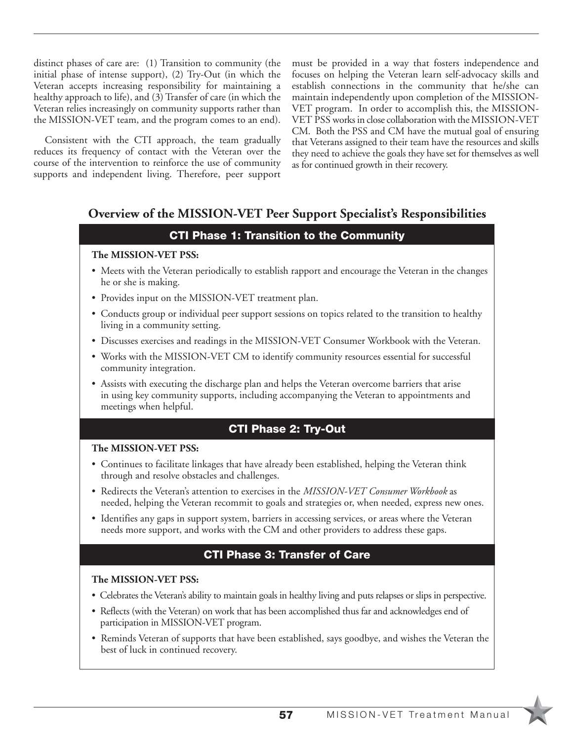distinct phases of care are: (1) Transition to community (the initial phase of intense support), (2) Try-Out (in which the Veteran accepts increasing responsibility for maintaining a healthy approach to life), and  $(3)$  Transfer of care (in which the Veteran relies increasingly on community supports rather than the MISSION-VET team, and the program comes to an end).

Consistent with the CTI approach, the team gradually reduces its frequency of contact with the Veteran over the course of the intervention to reinforce the use of community supports and independent living. Therefore, peer support must be provided in a way that fosters independence and focuses on helping the Veteran learn self-advocacy skills and establish connections in the community that he/she can maintain independently upon completion of the MISSION-VET program. In order to accomplish this, the MISSION-VET PSS works in close collaboration with the MISSION-VET CM. Both the PSS and CM have the mutual goal of ensuring that Veterans assigned to their team have the resources and skills they need to achieve the goals they have set for themselves as well as for continued growth in their recovery.

#### **Overview of the MISSION-VET Peer Support Specialist's Responsibilities**

#### CTI Phase 1: Transition to the Community

#### **The MISSION-VET PSS:**

- Meets with the Veteran periodically to establish rapport and encourage the Veteran in the changes he or she is making.
- Provides input on the MISSION-VET treatment plan.
- Conducts group or individual peer support sessions on topics related to the transition to healthy living in a community setting.
- Discusses exercises and readings in the MISSION-VET Consumer Workbook with the Veteran.
- Works with the MISSION-VET CM to identify community resources essential for successful community integration.
- Assists with executing the discharge plan and helps the Veteran overcome barriers that arise in using key community supports, including accompanying the Veteran to appointments and meetings when helpful.

#### CTI Phase 2: Try-Out

#### **The MISSION-VET PSS:**

- Continues to facilitate linkages that have already been established, helping the Veteran think through and resolve obstacles and challenges.
- Redirects the Veteran's attention to exercises in the *MISSION-VET Consumer Workbook* as needed, helping the Veteran recommit to goals and strategies or, when needed, express new ones.
- Identifies any gaps in support system, barriers in accessing services, or areas where the Veteran needs more support, and works with the CM and other providers to address these gaps.

#### CTI Phase 3: Transfer of Care

#### **The MISSION-VET PSS:**

- Celebrates the Veteran's ability to maintain goals in healthy living and puts relapses or slips in perspective.
- Reflects (with the Veteran) on work that has been accomplished thus far and acknowledges end of participation in MISSION-VET program.
- Reminds Veteran of supports that have been established, says goodbye, and wishes the Veteran the best of luck in continued recovery.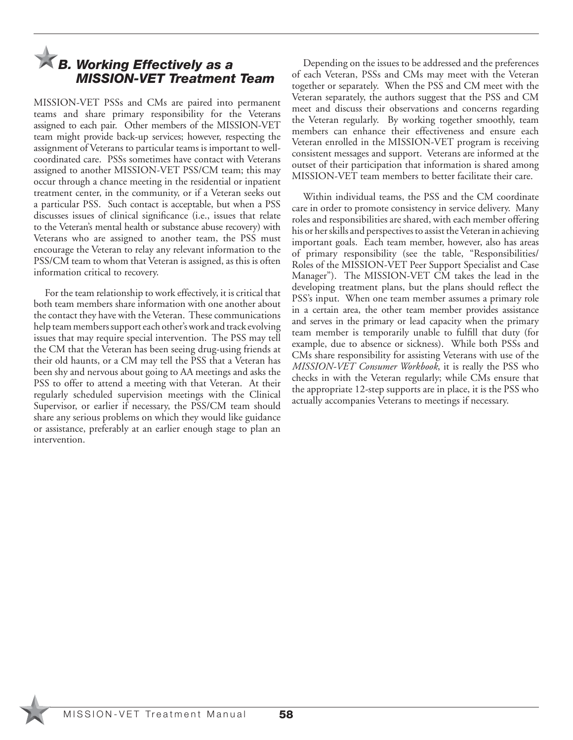# *B. Working Effectively as a MISSION-VET Treatment Team*

MISSION-VET PSSs and CMs are paired into permanent teams and share primary responsibility for the Veterans assigned to each pair. Other members of the MISSION-VET team might provide back-up services; however, respecting the assignment of Veterans to particular teams is important to wellcoordinated care. PSSs sometimes have contact with Veterans assigned to another MISSION-VET PSS/CM team; this may occur through a chance meeting in the residential or inpatient treatment center, in the community, or if a Veteran seeks out a particular PSS. Such contact is acceptable, but when a PSS discusses issues of clinical significance (i.e., issues that relate to the Veteran's mental health or substance abuse recovery) with Veterans who are assigned to another team, the PSS must encourage the Veteran to relay any relevant information to the PSS/CM team to whom that Veteran is assigned, as this is often information critical to recovery.

For the team relationship to work effectively, it is critical that both team members share information with one another about the contact they have with the Veteran. These communications help team members support each other's work and track evolving issues that may require special intervention. The PSS may tell the CM that the Veteran has been seeing drug-using friends at their old haunts, or a CM may tell the PSS that a Veteran has been shy and nervous about going to AA meetings and asks the PSS to offer to attend a meeting with that Veteran. At their regularly scheduled supervision meetings with the Clinical Supervisor, or earlier if necessary, the PSS/CM team should share any serious problems on which they would like guidance or assistance, preferably at an earlier enough stage to plan an intervention.

Depending on the issues to be addressed and the preferences of each Veteran, PSSs and CMs may meet with the Veteran together or separately. When the PSS and CM meet with the Veteran separately, the authors suggest that the PSS and CM meet and discuss their observations and concerns regarding the Veteran regularly. By working together smoothly, team members can enhance their effectiveness and ensure each Veteran enrolled in the MISSION-VET program is receiving consistent messages and support. Veterans are informed at the outset of their participation that information is shared among MISSION-VET team members to better facilitate their care.

Within individual teams, the PSS and the CM coordinate care in order to promote consistency in service delivery. Many roles and responsibilities are shared, with each member offering his or her skills and perspectives to assist the Veteran in achieving important goals. Each team member, however, also has areas of primary responsibility (see the table, "Responsibilities/ Roles of the MISSION-VET Peer Support Specialist and Case Manager"). The MISSION-VET CM takes the lead in the developing treatment plans, but the plans should reflect the PSS's input. When one team member assumes a primary role in a certain area, the other team member provides assistance and serves in the primary or lead capacity when the primary team member is temporarily unable to fulfill that duty (for example, due to absence or sickness). While both PSSs and CMs share responsibility for assisting Veterans with use of the *MISSION-VET Consumer Workbook*, it is really the PSS who checks in with the Veteran regularly; while CMs ensure that the appropriate 12-step supports are in place, it is the PSS who actually accompanies Veterans to meetings if necessary.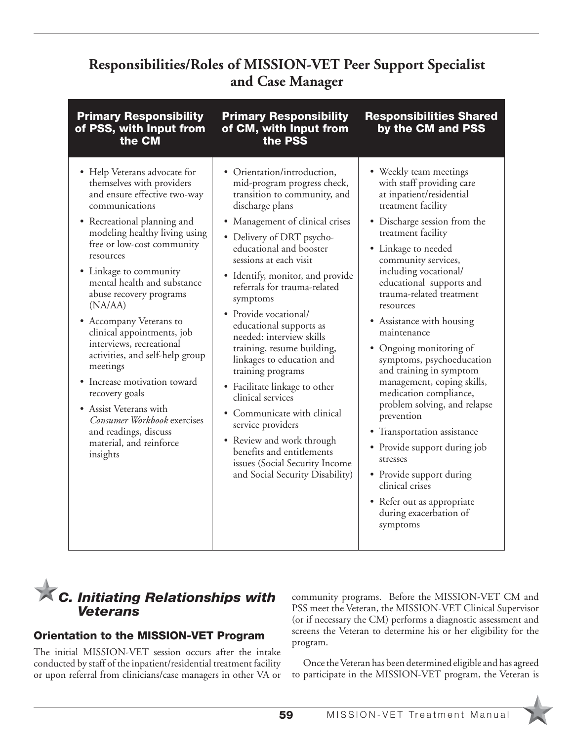# **Responsibilities/Roles of MISSION-VET Peer Support Specialist and Case Manager**

| <b>Primary Responsibility</b><br>of PSS, with Input from<br>the CM                                                                                                                                                                                                                                                                                                                                                                                                                                                                                                                                                                              | <b>Primary Responsibility</b><br>of CM, with Input from<br>the PSS                                                                                                                                                                                                                                                                                                                                                                                                                                                                                                                                                                                                                                                          | <b>Responsibilities Shared</b><br>by the CM and PSS                                                                                                                                                                                                                                                                                                                                                                                                                                                                                                                                                                                                                                                                                        |
|-------------------------------------------------------------------------------------------------------------------------------------------------------------------------------------------------------------------------------------------------------------------------------------------------------------------------------------------------------------------------------------------------------------------------------------------------------------------------------------------------------------------------------------------------------------------------------------------------------------------------------------------------|-----------------------------------------------------------------------------------------------------------------------------------------------------------------------------------------------------------------------------------------------------------------------------------------------------------------------------------------------------------------------------------------------------------------------------------------------------------------------------------------------------------------------------------------------------------------------------------------------------------------------------------------------------------------------------------------------------------------------------|--------------------------------------------------------------------------------------------------------------------------------------------------------------------------------------------------------------------------------------------------------------------------------------------------------------------------------------------------------------------------------------------------------------------------------------------------------------------------------------------------------------------------------------------------------------------------------------------------------------------------------------------------------------------------------------------------------------------------------------------|
| • Help Veterans advocate for<br>themselves with providers<br>and ensure effective two-way<br>communications<br>• Recreational planning and<br>modeling healthy living using<br>free or low-cost community<br>resources<br>• Linkage to community<br>mental health and substance<br>abuse recovery programs<br>(NA/AA)<br>• Accompany Veterans to<br>clinical appointments, job<br>interviews, recreational<br>activities, and self-help group<br>meetings<br>Increase motivation toward<br>$\bullet$<br>recovery goals<br>• Assist Veterans with<br>Consumer Workbook exercises<br>and readings, discuss<br>material, and reinforce<br>insights | • Orientation/introduction,<br>mid-program progress check,<br>transition to community, and<br>discharge plans<br>• Management of clinical crises<br>• Delivery of DRT psycho-<br>educational and booster<br>sessions at each visit<br>• Identify, monitor, and provide<br>referrals for trauma-related<br>symptoms<br>• Provide vocational/<br>educational supports as<br>needed: interview skills<br>training, resume building,<br>linkages to education and<br>training programs<br>• Facilitate linkage to other<br>clinical services<br>• Communicate with clinical<br>service providers<br>• Review and work through<br>benefits and entitlements<br>issues (Social Security Income<br>and Social Security Disability) | • Weekly team meetings<br>with staff providing care<br>at inpatient/residential<br>treatment facility<br>• Discharge session from the<br>treatment facility<br>• Linkage to needed<br>community services,<br>including vocational/<br>educational supports and<br>trauma-related treatment<br>resources<br>• Assistance with housing<br>maintenance<br>• Ongoing monitoring of<br>symptoms, psychoeducation<br>and training in symptom<br>management, coping skills,<br>medication compliance,<br>problem solving, and relapse<br>prevention<br>• Transportation assistance<br>• Provide support during job<br>stresses<br>• Provide support during<br>clinical crises<br>• Refer out as appropriate<br>during exacerbation of<br>symptoms |

# *C. Initiating Relationships with Veterans*

#### Orientation to the MISSION-VET Program

The initial MISSION-VET session occurs after the intake conducted by staff of the inpatient/residential treatment facility or upon referral from clinicians/case managers in other VA or community programs. Before the MISSION-VET CM and PSS meet the Veteran, the MISSION-VET Clinical Supervisor (or if necessary the CM) performs a diagnostic assessment and screens the Veteran to determine his or her eligibility for the program.

Once the Veteran has been determined eligible and has agreed to participate in the MISSION-VET program, the Veteran is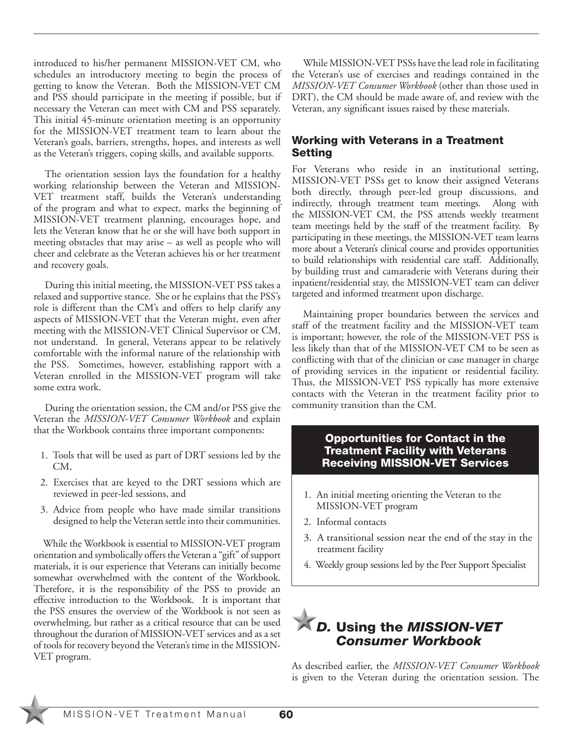introduced to his/her permanent MISSION-VET CM, who schedules an introductory meeting to begin the process of getting to know the Veteran. Both the MISSION-VET CM and PSS should participate in the meeting if possible, but if necessary the Veteran can meet with CM and PSS separately. This initial 45-minute orientation meeting is an opportunity for the MISSION-VET treatment team to learn about the Veteran's goals, barriers, strengths, hopes, and interests as well as the Veteran's triggers, coping skills, and available supports.

The orientation session lays the foundation for a healthy working relationship between the Veteran and MISSION-VET treatment staff, builds the Veteran's understanding of the program and what to expect, marks the beginning of MISSION-VET treatment planning, encourages hope, and lets the Veteran know that he or she will have both support in meeting obstacles that may arise – as well as people who will cheer and celebrate as the Veteran achieves his or her treatment and recovery goals.

During this initial meeting, the MISSION-VET PSS takes a relaxed and supportive stance. She or he explains that the PSS's role is different than the CM's and offers to help clarify any aspects of MISSION-VET that the Veteran might, even after meeting with the MISSION-VET Clinical Supervisor or CM, not understand. In general, Veterans appear to be relatively comfortable with the informal nature of the relationship with the PSS. Sometimes, however, establishing rapport with a Veteran enrolled in the MISSION-VET program will take some extra work.

During the orientation session, the CM and/or PSS give the Veteran the *MISSION-VET Consumer Workbook* and explain that the Workbook contains three important components:

- 1. Tools that will be used as part of DRT sessions led by the CM,
- 2. Exercises that are keyed to the DRT sessions which are reviewed in peer-led sessions, and
- 3. Advice from people who have made similar transitions designed to help the Veteran settle into their communities.

 While the Workbook is essential to MISSION-VET program orientation and symbolically offers the Veteran a "gift" of support materials, it is our experience that Veterans can initially become somewhat overwhelmed with the content of the Workbook. Therefore, it is the responsibility of the PSS to provide an effective introduction to the Workbook. It is important that the PSS ensures the overview of the Workbook is not seen as overwhelming, but rather as a critical resource that can be used throughout the duration of MISSION-VET services and as a set of tools for recovery beyond the Veteran's time in the MISSION-VET program.

While MISSION-VET PSSs have the lead role in facilitating the Veteran's use of exercises and readings contained in the *MISSION-VET Consumer Workbook* (other than those used in DRT), the CM should be made aware of, and review with the Veteran, any significant issues raised by these materials.

#### Working with Veterans in a Treatment **Setting**

For Veterans who reside in an institutional setting, MISSION-VET PSSs get to know their assigned Veterans both directly, through peer-led group discussions, and indirectly, through treatment team meetings. Along with the MISSION-VET CM, the PSS attends weekly treatment team meetings held by the staff of the treatment facility. By participating in these meetings, the MISSION-VET team learns more about a Veteran's clinical course and provides opportunities to build relationships with residential care staff. Additionally, by building trust and camaraderie with Veterans during their inpatient/residential stay, the MISSION-VET team can deliver targeted and informed treatment upon discharge.

Maintaining proper boundaries between the services and staff of the treatment facility and the MISSION-VET team is important; however, the role of the MISSION-VET PSS is less likely than that of the MISSION-VET CM to be seen as conflicting with that of the clinician or case manager in charge of providing services in the inpatient or residential facility. Thus, the MISSION-VET PSS typically has more extensive contacts with the Veteran in the treatment facility prior to community transition than the CM.

#### Opportunities for Contact in the Treatment Facility with Veterans Receiving MISSION-VET Services

- 1. An initial meeting orienting the Veteran to the MISSION-VET program
- 2. Informal contacts
- 3. A transitional session near the end of the stay in the treatment facility
- 4. Weekly group sessions led by the Peer Support Specialist

# *D.* Using the *MISSION-VET Consumer Workbook*

As described earlier, the *MISSION-VET Consumer Workbook* is given to the Veteran during the orientation session. The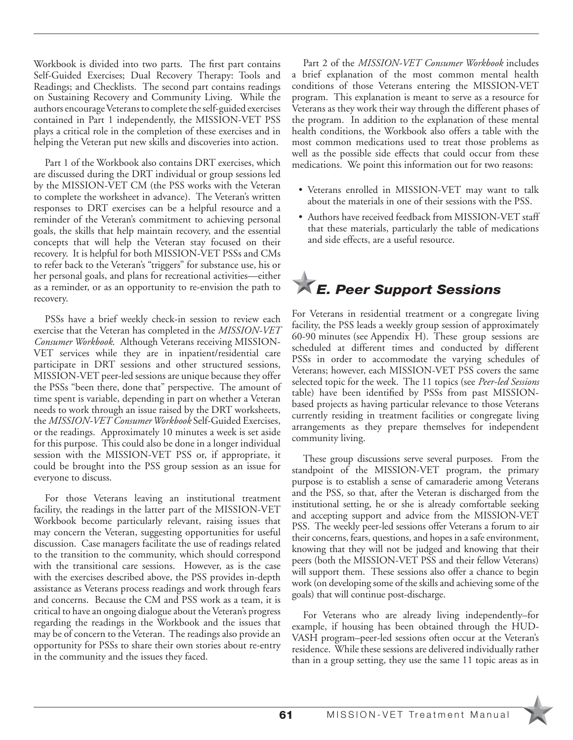Workbook is divided into two parts. The first part contains Self-Guided Exercises; Dual Recovery Therapy: Tools and Readings; and Checklists. The second part contains readings on Sustaining Recovery and Community Living. While the authors encourage Veterans to complete the self-guided exercises contained in Part 1 independently, the MISSION-VET PSS plays a critical role in the completion of these exercises and in helping the Veteran put new skills and discoveries into action.

Part 1 of the Workbook also contains DRT exercises, which are discussed during the DRT individual or group sessions led by the MISSION-VET CM (the PSS works with the Veteran to complete the worksheet in advance). The Veteran's written responses to DRT exercises can be a helpful resource and a reminder of the Veteran's commitment to achieving personal goals, the skills that help maintain recovery, and the essential concepts that will help the Veteran stay focused on their recovery. It is helpful for both MISSION-VET PSSs and CMs to refer back to the Veteran's "triggers" for substance use, his or her personal goals, and plans for recreational activities—either as a reminder, or as an opportunity to re-envision the path to recovery.

PSSs have a brief weekly check-in session to review each exercise that the Veteran has completed in the *MISSION-VET Consumer Workbook*. Although Veterans receiving MISSION-VET services while they are in inpatient/residential care participate in DRT sessions and other structured sessions, MISSION-VET peer-led sessions are unique because they offer the PSSs "been there, done that" perspective. The amount of time spent is variable, depending in part on whether a Veteran needs to work through an issue raised by the DRT worksheets, the *MISSION-VET Consumer Workbook* Self-Guided Exercises, or the readings. Approximately 10 minutes a week is set aside for this purpose. This could also be done in a longer individual session with the MISSION-VET PSS or, if appropriate, it could be brought into the PSS group session as an issue for everyone to discuss.

For those Veterans leaving an institutional treatment facility, the readings in the latter part of the MISSION-VET Workbook become particularly relevant, raising issues that may concern the Veteran, suggesting opportunities for useful discussion. Case managers facilitate the use of readings related to the transition to the community, which should correspond with the transitional care sessions. However, as is the case with the exercises described above, the PSS provides in-depth assistance as Veterans process readings and work through fears and concerns. Because the CM and PSS work as a team, it is critical to have an ongoing dialogue about the Veteran's progress regarding the readings in the Workbook and the issues that may be of concern to the Veteran. The readings also provide an opportunity for PSSs to share their own stories about re-entry in the community and the issues they faced.

Part 2 of the *MISSION-VET Consumer Workbook* includes a brief explanation of the most common mental health conditions of those Veterans entering the MISSION-VET program. This explanation is meant to serve as a resource for Veterans as they work their way through the different phases of the program. In addition to the explanation of these mental health conditions, the Workbook also offers a table with the most common medications used to treat those problems as well as the possible side effects that could occur from these medications. We point this information out for two reasons:

- Veterans enrolled in MISSION-VET may want to talk about the materials in one of their sessions with the PSS.
- Authors have received feedback from MISSION-VET staff that these materials, particularly the table of medications and side effects, are a useful resource.

# *E. Peer Support Sessions*

For Veterans in residential treatment or a congregate living facility, the PSS leads a weekly group session of approximately 60-90 minutes (see Appendix H). These group sessions are scheduled at different times and conducted by different PSSs in order to accommodate the varying schedules of Veterans; however, each MISSION-VET PSS covers the same selected topic for the week. The 11 topics (see *Peer-led Sessions* table) have been identified by PSSs from past MISSIONbased projects as having particular relevance to those Veterans currently residing in treatment facilities or congregate living arrangements as they prepare themselves for independent community living.

These group discussions serve several purposes. From the standpoint of the MISSION-VET program, the primary purpose is to establish a sense of camaraderie among Veterans and the PSS, so that, after the Veteran is discharged from the institutional setting, he or she is already comfortable seeking and accepting support and advice from the MISSION-VET PSS. The weekly peer-led sessions offer Veterans a forum to air their concerns, fears, questions, and hopes in a safe environment, knowing that they will not be judged and knowing that their peers (both the MISSION-VET PSS and their fellow Veterans) will support them. These sessions also offer a chance to begin work (on developing some of the skills and achieving some of the goals) that will continue post-discharge.

For Veterans who are already living independently–for example, if housing has been obtained through the HUD-VASH program–peer-led sessions often occur at the Veteran's residence. While these sessions are delivered individually rather than in a group setting, they use the same 11 topic areas as in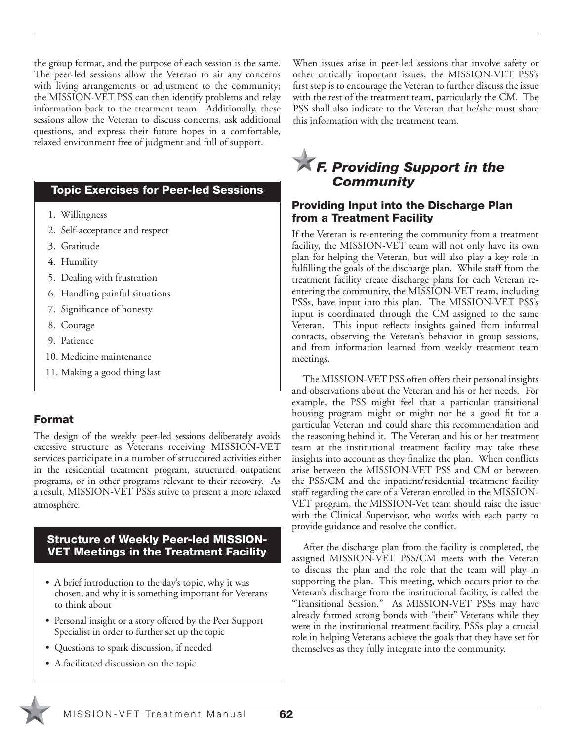the group format, and the purpose of each session is the same. The peer-led sessions allow the Veteran to air any concerns with living arrangements or adjustment to the community; the MISSION-VET PSS can then identify problems and relay information back to the treatment team. Additionally, these sessions allow the Veteran to discuss concerns, ask additional questions, and express their future hopes in a comfortable, relaxed environment free of judgment and full of support.

#### Topic Exercises for Peer-led Sessions

- 1. Willingness
- 2. Self-acceptance and respect
- 3. Gratitude
- 4. Humility
- 5. Dealing with frustration
- 6. Handling painful situations
- 7. Significance of honesty
- 8. Courage
- 9. Patience
- 10. Medicine maintenance
- 11. Making a good thing last

#### Format

The design of the weekly peer-led sessions deliberately avoids excessive structure as Veterans receiving MISSION-VET services participate in a number of structured activities either in the residential treatment program, structured outpatient programs, or in other programs relevant to their recovery. As a result, MISSION-VET PSSs strive to present a more relaxed atmosphere.

#### j Structure of Weekly Peer-led MISSION-VET Meetings in the Treatment Facility

- A brief introduction to the day's topic, why it was chosen, and why it is something important for Veterans to think about
- Personal insight or a story offered by the Peer Support Specialist in order to further set up the topic
- Questions to spark discussion, if needed
- A facilitated discussion on the topic

When issues arise in peer-led sessions that involve safety or other critically important issues, the MISSION-VET PSS's first step is to encourage the Veteran to further discuss the issue with the rest of the treatment team, particularly the CM. The PSS shall also indicate to the Veteran that he/she must share this information with the treatment team.

# *F. Providing Support in the Community*

#### Providing Input into the Discharge Plan from a Treatment Facility

If the Veteran is re-entering the community from a treatment facility, the MISSION-VET team will not only have its own plan for helping the Veteran, but will also play a key role in fulfilling the goals of the discharge plan. While staff from the treatment facility create discharge plans for each Veteran reentering the community, the MISSION-VET team, including PSSs, have input into this plan. The MISSION-VET PSS's input is coordinated through the CM assigned to the same Veteran. This input reflects insights gained from informal contacts, observing the Veteran's behavior in group sessions, and from information learned from weekly treatment team meetings.

The MISSION-VET PSS often offers their personal insights and observations about the Veteran and his or her needs. For example, the PSS might feel that a particular transitional housing program might or might not be a good fit for a particular Veteran and could share this recommendation and the reasoning behind it. The Veteran and his or her treatment team at the institutional treatment facility may take these insights into account as they finalize the plan. When conflicts arise between the MISSION-VET PSS and CM or between the PSS/CM and the inpatient/residential treatment facility staff regarding the care of a Veteran enrolled in the MISSION-VET program, the MISSION-Vet team should raise the issue with the Clinical Supervisor, who works with each party to provide guidance and resolve the conflict.

After the discharge plan from the facility is completed, the assigned MISSION-VET PSS/CM meets with the Veteran to discuss the plan and the role that the team will play in supporting the plan. This meeting, which occurs prior to the Veteran's discharge from the institutional facility, is called the "Transitional Session." As MISSION-VET PSSs may have already formed strong bonds with "their" Veterans while they were in the institutional treatment facility, PSSs play a crucial role in helping Veterans achieve the goals that they have set for themselves as they fully integrate into the community.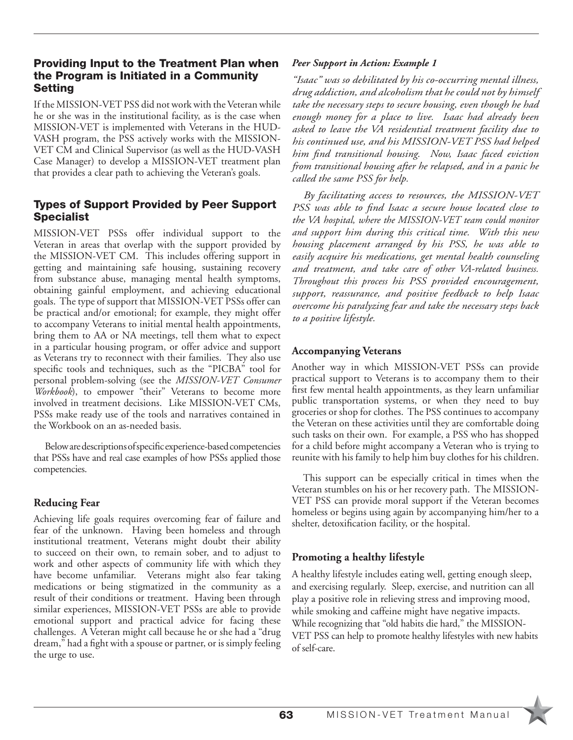#### Providing Input to the Treatment Plan when the Program is Initiated in a Community **Setting**

If the MISSION-VET PSS did not work with the Veteran while he or she was in the institutional facility, as is the case when MISSION-VET is implemented with Veterans in the HUD-VASH program, the PSS actively works with the MISSION-VET CM and Clinical Supervisor (as well as the HUD-VASH Case Manager) to develop a MISSION-VET treatment plan that provides a clear path to achieving the Veteran's goals.

#### Types of Support Provided by Peer Support Specialist

MISSION-VET PSSs offer individual support to the Veteran in areas that overlap with the support provided by the MISSION-VET CM. This includes offering support in getting and maintaining safe housing, sustaining recovery from substance abuse, managing mental health symptoms, obtaining gainful employment, and achieving educational goals. The type of support that MISSION-VET PSSs offer can be practical and/or emotional; for example, they might offer to accompany Veterans to initial mental health appointments, bring them to AA or NA meetings, tell them what to expect in a particular housing program, or offer advice and support as Veterans try to reconnect with their families. They also use specific tools and techniques, such as the "PICBA" tool for personal problem-solving (see the *MISSION-VET Consumer Workbook*), to empower "their" Veterans to become more involved in treatment decisions. Like MISSION-VET CMs, PSSs make ready use of the tools and narratives contained in the Workbook on an as-needed basis.

Below are descriptions of specific experience-based competencies that PSSs have and real case examples of how PSSs applied those competencies.

#### **Reducing Fear**

Achieving life goals requires overcoming fear of failure and fear of the unknown. Having been homeless and through institutional treatment, Veterans might doubt their ability to succeed on their own, to remain sober, and to adjust to work and other aspects of community life with which they have become unfamiliar. Veterans might also fear taking medications or being stigmatized in the community as a result of their conditions or treatment. Having been through similar experiences, MISSION-VET PSSs are able to provide emotional support and practical advice for facing these challenges. A Veteran might call because he or she had a "drug dream," had a fight with a spouse or partner, or is simply feeling the urge to use.

#### *Peer Support in Action: Example 1*

*"Isaac" was so debilitated by his co-occurring mental illness, drug addiction, and alcoholism that he could not by himself take the necessary steps to secure housing, even though he had enough money for a place to live. Isaac had already been asked to leave the VA residential treatment facility due to his continued use, and his MISSION-VET PSS had helped him find transitional housing. Now, Isaac faced eviction from transitional housing after he relapsed, and in a panic he called the same PSS for help.*

*By facilitating access to resources, the MISSION-VET PSS was able to find Isaac a secure house located close to the VA hospital, where the MISSION-VET team could monitor and support him during this critical time. With this new housing placement arranged by his PSS, he was able to easily acquire his medications, get mental health counseling and treatment, and take care of other VA-related business. Throughout this process his PSS provided encouragement, support, reassurance, and positive feedback to help Isaac overcome his paralyzing fear and take the necessary steps back to a positive lifestyle.*

#### **Accompanying Veterans**

Another way in which MISSION-VET PSSs can provide practical support to Veterans is to accompany them to their first few mental health appointments, as they learn unfamiliar public transportation systems, or when they need to buy groceries or shop for clothes. The PSS continues to accompany the Veteran on these activities until they are comfortable doing such tasks on their own. For example, a PSS who has shopped for a child before might accompany a Veteran who is trying to reunite with his family to help him buy clothes for his children.

This support can be especially critical in times when the Veteran stumbles on his or her recovery path. The MISSION-VET PSS can provide moral support if the Veteran becomes homeless or begins using again by accompanying him/her to a shelter, detoxification facility, or the hospital.

#### **Promoting a healthy lifestyle**

A healthy lifestyle includes eating well, getting enough sleep, and exercising regularly. Sleep, exercise, and nutrition can all play a positive role in relieving stress and improving mood, while smoking and caffeine might have negative impacts. While recognizing that "old habits die hard," the MISSION-VET PSS can help to promote healthy lifestyles with new habits of self-care.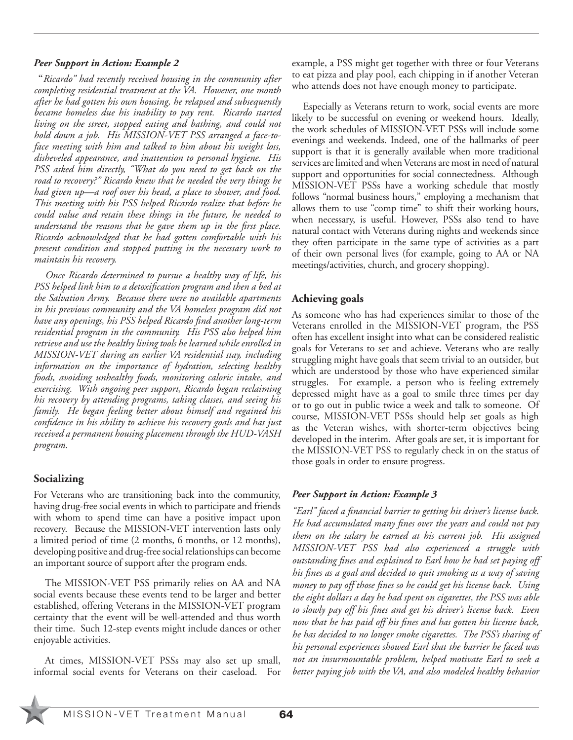#### *Peer Support in Action: Example 2*

"*Ricardo" had recently received housing in the community after completing residential treatment at the VA. However, one month after he had gotten his own housing, he relapsed and subsequently became homeless due his inability to pay rent. Ricardo started living on the street, stopped eating and bathing, and could not hold down a job. His MISSION-VET PSS arranged a face-toface meeting with him and talked to him about his weight loss, disheveled appearance, and inattention to personal hygiene. His PSS asked him directly, "What do you need to get back on the road to recovery?" Ricardo knew that he needed the very things he had given up—a roof over his head, a place to shower, and food. This meeting with his PSS helped Ricardo realize that before he could value and retain these things in the future, he needed to understand the reasons that he gave them up in the first place. Ricardo acknowledged that he had gotten comfortable with his present condition and stopped putting in the necessary work to maintain his recovery.*

*Once Ricardo determined to pursue a healthy way of life, his PSS helped link him to a detoxification program and then a bed at the Salvation Army. Because there were no available apartments in his previous community and the VA homeless program did not have any openings, his PSS helped Ricardo find another long-term residential program in the community. His PSS also helped him retrieve and use the healthy living tools he learned while enrolled in MISSION-VET during an earlier VA residential stay, including information on the importance of hydration, selecting healthy foods, avoiding unhealthy foods, monitoring caloric intake, and exercising. With ongoing peer support, Ricardo began reclaiming his recovery by attending programs, taking classes, and seeing his family. He began feeling better about himself and regained his confidence in his ability to achieve his recovery goals and has just received a permanent housing placement through the HUD-VASH program.* 

#### **Socializing**

For Veterans who are transitioning back into the community, having drug-free social events in which to participate and friends with whom to spend time can have a positive impact upon recovery. Because the MISSION-VET intervention lasts only a limited period of time (2 months, 6 months, or 12 months), developing positive and drug-free social relationships can become an important source of support after the program ends.

The MISSION-VET PSS primarily relies on AA and NA social events because these events tend to be larger and better established, offering Veterans in the MISSION-VET program certainty that the event will be well-attended and thus worth their time. Such 12-step events might include dances or other enjoyable activities.

At times, MISSION-VET PSSs may also set up small, informal social events for Veterans on their caseload. For example, a PSS might get together with three or four Veterans to eat pizza and play pool, each chipping in if another Veteran who attends does not have enough money to participate.

Especially as Veterans return to work, social events are more likely to be successful on evening or weekend hours. Ideally, the work schedules of MISSION-VET PSSs will include some evenings and weekends. Indeed, one of the hallmarks of peer support is that it is generally available when more traditional services are limited and when Veterans are most in need of natural support and opportunities for social connectedness. Although MISSION-VET PSSs have a working schedule that mostly follows "normal business hours," employing a mechanism that allows them to use "comp time" to shift their working hours, when necessary, is useful. However, PSSs also tend to have natural contact with Veterans during nights and weekends since they often participate in the same type of activities as a part of their own personal lives (for example, going to AA or NA meetings/activities, church, and grocery shopping).

#### **Achieving goals**

As someone who has had experiences similar to those of the Veterans enrolled in the MISSION-VET program, the PSS often has excellent insight into what can be considered realistic goals for Veterans to set and achieve. Veterans who are really struggling might have goals that seem trivial to an outsider, but which are understood by those who have experienced similar struggles. For example, a person who is feeling extremely depressed might have as a goal to smile three times per day or to go out in public twice a week and talk to someone. Of course, MISSION-VET PSSs should help set goals as high as the Veteran wishes, with shorter-term objectives being developed in the interim. After goals are set, it is important for the MISSION-VET PSS to regularly check in on the status of those goals in order to ensure progress.

#### *Peer Support in Action: Example 3*

*"Earl" faced a financial barrier to getting his driver's license back. He had accumulated many fines over the years and could not pay them on the salary he earned at his current job. His assigned MISSION-VET PSS had also experienced a struggle with outstanding fines and explained to Earl how he had set paying off his fines as a goal and decided to quit smoking as a way of saving money to pay off those fines so he could get his license back. Using the eight dollars a day he had spent on cigarettes, the PSS was able to slowly pay off his fines and get his driver's license back. Even now that he has paid off his fines and has gotten his license back, he has decided to no longer smoke cigarettes. The PSS's sharing of his personal experiences showed Earl that the barrier he faced was not an insurmountable problem, helped motivate Earl to seek a better paying job with the VA, and also modeled healthy behavior*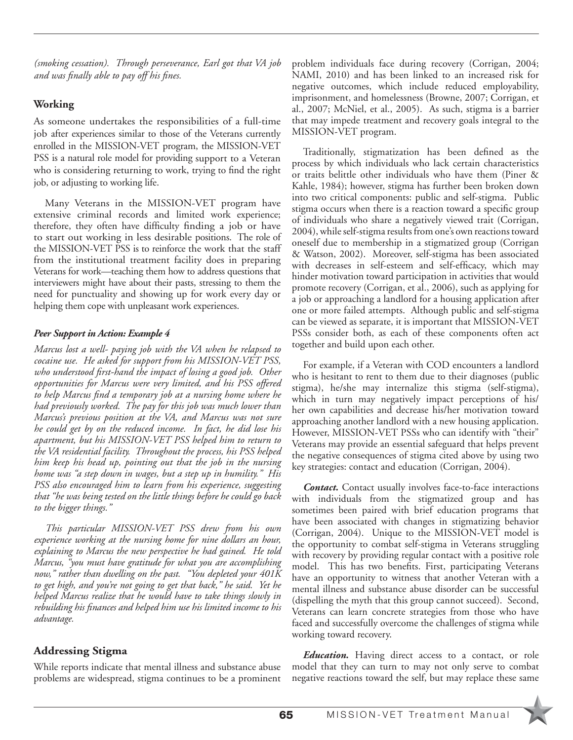*(smoking cessation). Through perseverance, Earl got that VA job and was finally able to pay off his fines.*

#### **Working**

As someone undertakes the responsibilities of a full-time job after experiences similar to those of the Veterans currently enrolled in the MISSION-VET program, the MISSION-VET PSS is a natural role model for providing support to a Veteran who is considering returning to work, trying to find the right job, or adjusting to working life.

Many Veterans in the MISSION-VET program have extensive criminal records and limited work experience; therefore, they often have difficulty finding a job or have to start out working in less desirable positions. The role of the MISSION-VET PSS is to reinforce the work that the staff from the institutional treatment facility does in preparing Veterans for work—teaching them how to address questions that interviewers might have about their pasts, stressing to them the need for punctuality and showing up for work every day or helping them cope with unpleasant work experiences.

#### *Peer Support in Action: Example 4*

*Marcus lost a well- paying job with the VA when he relapsed to cocaine use. He asked for support from his MISSION-VET PSS, who understood first-hand the impact of losing a good job. Other opportunities for Marcus were very limited, and his PSS offered to help Marcus find a temporary job at a nursing home where he had previously worked. The pay for this job was much lower than Marcus's previous position at the VA, and Marcus was not sure he could get by on the reduced income. In fact, he did lose his apartment, but his MISSION-VET PSS helped him to return to the VA residential facility. Throughout the process, his PSS helped him keep his head up, pointing out that the job in the nursing home was "a step down in wages, but a step up in humility." His PSS also encouraged him to learn from his experience, suggesting that "he was being tested on the little things before he could go back to the bigger things."*

*This particular MISSION-VET PSS drew from his own experience working at the nursing home for nine dollars an hour, explaining to Marcus the new perspective he had gained. He told Marcus, "you must have gratitude for what you are accomplishing now," rather than dwelling on the past. "You depleted your 401K to get high, and you're not going to get that back," he said. Yet he helped Marcus realize that he would have to take things slowly in rebuilding his finances and helped him use his limited income to his advantage.*

#### **Addressing Stigma**

While reports indicate that mental illness and substance abuse problems are widespread, stigma continues to be a prominent problem individuals face during recovery (Corrigan, 2004; NAMI, 2010) and has been linked to an increased risk for negative outcomes, which include reduced employability, imprisonment, and homelessness (Browne, 2007; Corrigan, et al., 2007; McNiel, et al., 2005). As such, stigma is a barrier that may impede treatment and recovery goals integral to the MISSION-VET program.

Traditionally, stigmatization has been defined as the process by which individuals who lack certain characteristics or traits belittle other individuals who have them (Piner & Kahle, 1984); however, stigma has further been broken down into two critical components: public and self-stigma. Public stigma occurs when there is a reaction toward a specific group of individuals who share a negatively viewed trait (Corrigan, 2004), while self-stigma results from one's own reactions toward oneself due to membership in a stigmatized group (Corrigan & Watson, 2002). Moreover, self-stigma has been associated with decreases in self-esteem and self-efficacy, which may hinder motivation toward participation in activities that would promote recovery (Corrigan, et al., 2006), such as applying for a job or approaching a landlord for a housing application after one or more failed attempts. Although public and self-stigma can be viewed as separate, it is important that MISSION-VET PSSs consider both, as each of these components often act together and build upon each other.

For example, if a Veteran with COD encounters a landlord who is hesitant to rent to them due to their diagnoses (public stigma), he/she may internalize this stigma (self-stigma), which in turn may negatively impact perceptions of his/ her own capabilities and decrease his/her motivation toward approaching another landlord with a new housing application. However, MISSION-VET PSSs who can identify with "their" Veterans may provide an essential safeguard that helps prevent the negative consequences of stigma cited above by using two key strategies: contact and education (Corrigan, 2004).

*Contact.* Contact usually involves face-to-face interactions with individuals from the stigmatized group and has sometimes been paired with brief education programs that have been associated with changes in stigmatizing behavior (Corrigan, 2004). Unique to the MISSION-VET model is the opportunity to combat self-stigma in Veterans struggling with recovery by providing regular contact with a positive role model. This has two benefits. First, participating Veterans have an opportunity to witness that another Veteran with a mental illness and substance abuse disorder can be successful (dispelling the myth that this group cannot succeed). Second, Veterans can learn concrete strategies from those who have faced and successfully overcome the challenges of stigma while working toward recovery.

*Education.* Having direct access to a contact, or role model that they can turn to may not only serve to combat negative reactions toward the self, but may replace these same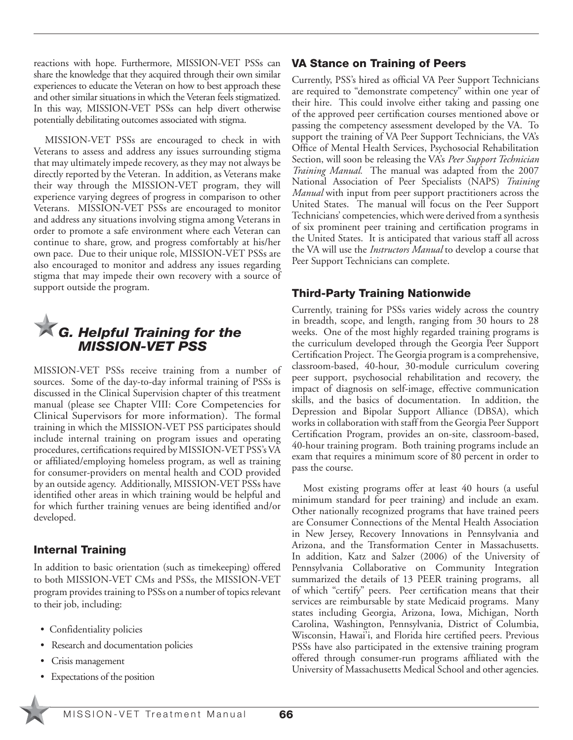reactions with hope. Furthermore, MISSION-VET PSSs can share the knowledge that they acquired through their own similar experiences to educate the Veteran on how to best approach these and other similar situations in which the Veteran feels stigmatized. In this way, MISSION-VET PSSs can help divert otherwise potentially debilitating outcomes associated with stigma.

MISSION-VET PSSs are encouraged to check in with Veterans to assess and address any issues surrounding stigma that may ultimately impede recovery, as they may not always be directly reported by the Veteran. In addition, as Veterans make their way through the MISSION-VET program, they will experience varying degrees of progress in comparison to other Veterans. MISSION-VET PSSs are encouraged to monitor and address any situations involving stigma among Veterans in order to promote a safe environment where each Veteran can continue to share, grow, and progress comfortably at his/her own pace. Due to their unique role, MISSION-VET PSSs are also encouraged to monitor and address any issues regarding stigma that may impede their own recovery with a source of support outside the program.



MISSION-VET PSSs receive training from a number of sources. Some of the day-to-day informal training of PSSs is discussed in the Clinical Supervision chapter of this treatment manual (please see Chapter VIII: Core Competencies for Clinical Supervisors for more information). The formal training in which the MISSION-VET PSS participates should include internal training on program issues and operating procedures, certifications required by MISSION-VET PSS's VA or affiliated/employing homeless program, as well as training for consumer-providers on mental health and COD provided by an outside agency. Additionally, MISSION-VET PSSs have identified other areas in which training would be helpful and for which further training venues are being identified and/or developed.

#### Internal Training

In addition to basic orientation (such as timekeeping) offered to both MISSION-VET CMs and PSSs, the MISSION-VET program provides training to PSSs on a number of topics relevant to their job, including:

- Confidentiality policies
- Research and documentation policies
- Crisis management
- Expectations of the position

#### VA Stance on Training of Peers

Currently, PSS's hired as official VA Peer Support Technicians are required to "demonstrate competency" within one year of their hire. This could involve either taking and passing one of the approved peer certification courses mentioned above or passing the competency assessment developed by the VA. To support the training of VA Peer Support Technicians, the VA's Office of Mental Health Services, Psychosocial Rehabilitation Section, will soon be releasing the VA's *Peer Support Technician Training Manual.* The manual was adapted from the 2007 National Association of Peer Specialists (NAPS) *Training Manual* with input from peer support practitioners across the United States. The manual will focus on the Peer Support Technicians' competencies, which were derived from a synthesis of six prominent peer training and certification programs in the United States. It is anticipated that various staff all across the VA will use the *Instructors Manual* to develop a course that Peer Support Technicians can complete.

#### Third-Party Training Nationwide

Currently, training for PSSs varies widely across the country in breadth, scope, and length, ranging from 30 hours to 28 weeks. One of the most highly regarded training programs is the curriculum developed through the Georgia Peer Support Certification Project. The Georgia program is a comprehensive, classroom-based, 40-hour, 30-module curriculum covering peer support, psychosocial rehabilitation and recovery, the impact of diagnosis on self-image, effective communication skills, and the basics of documentation. In addition, the Depression and Bipolar Support Alliance (DBSA), which works in collaboration with staff from the Georgia Peer Support Certification Program, provides an on-site, classroom-based, 40-hour training program. Both training programs include an exam that requires a minimum score of 80 percent in order to pass the course.

Most existing programs offer at least 40 hours (a useful minimum standard for peer training) and include an exam. Other nationally recognized programs that have trained peers are Consumer Connections of the Mental Health Association in New Jersey, Recovery Innovations in Pennsylvania and Arizona, and the Transformation Center in Massachusetts. In addition, Katz and Salzer (2006) of the University of Pennsylvania Collaborative on Community Integration summarized the details of 13 PEER training programs, all of which "certify" peers. Peer certification means that their services are reimbursable by state Medicaid programs. Many states including Georgia, Arizona, Iowa, Michigan, North Carolina, Washington, Pennsylvania, District of Columbia, Wisconsin, Hawai'i, and Florida hire certified peers. Previous PSSs have also participated in the extensive training program offered through consumer-run programs affiliated with the University of Massachusetts Medical School and other agencies.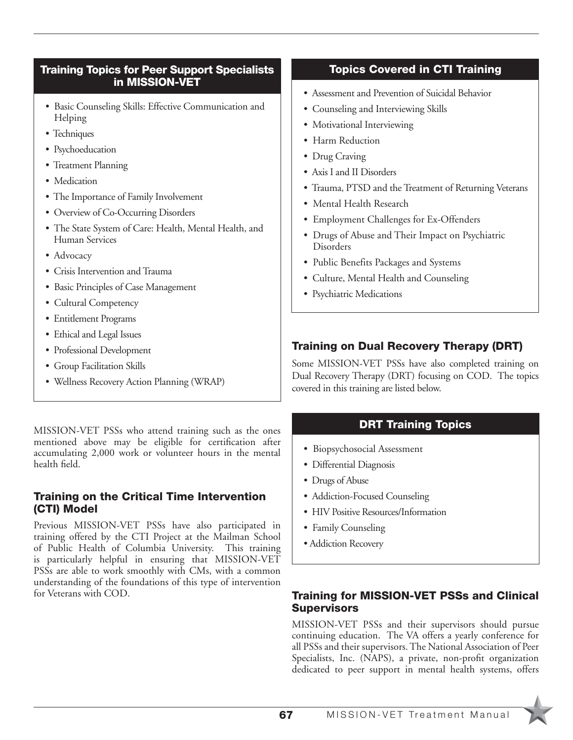#### Training Topics for Peer Support Specialists in MISSION-VET

- Basic Counseling Skills: Effective Communication and Helping
- Techniques
- Psychoeducation
- Treatment Planning
- Medication
- The Importance of Family Involvement
- Overview of Co-Occurring Disorders
- The State System of Care: Health, Mental Health, and Human Services
- Advocacy
- Crisis Intervention and Trauma
- Basic Principles of Case Management
- Cultural Competency
- Entitlement Programs
- Ethical and Legal Issues
- Professional Development
- Group Facilitation Skills
- Wellness Recovery Action Planning (WRAP)

MISSION-VET PSSs who attend training such as the ones mentioned above may be eligible for certification after accumulating 2,000 work or volunteer hours in the mental health field.

#### Training on the Critical Time Intervention (CTI) Model

Previous MISSION-VET PSSs have also participated in training offered by the CTI Project at the Mailman School of Public Health of Columbia University. This training is particularly helpful in ensuring that MISSION-VET PSSs are able to work smoothly with CMs, with a common understanding of the foundations of this type of intervention for Veterans with COD.

## Topics Covered in CTI Training

- Assessment and Prevention of Suicidal Behavior
- Counseling and Interviewing Skills
- Motivational Interviewing
- Harm Reduction
- Drug Craving
- Axis I and II Disorders
- Trauma, PTSD and the Treatment of Returning Veterans
- Mental Health Research
- Employment Challenges for Ex-Offenders
- Drugs of Abuse and Their Impact on Psychiatric **Disorders**
- Public Benefits Packages and Systems
- Culture, Mental Health and Counseling
- Psychiatric Medications

# Training on Dual Recovery Therapy (DRT)

Some MISSION-VET PSSs have also completed training on Dual Recovery Therapy (DRT) focusing on COD. The topics covered in this training are listed below.

## DRT Training Topics

- Biopsychosocial Assessment
- Differential Diagnosis
- Drugs of Abuse
- Addiction-Focused Counseling
- HIV Positive Resources/Information
- Family Counseling
- Addiction Recovery

### Training for MISSION-VET PSSs and Clinical **Supervisors**

MISSION-VET PSSs and their supervisors should pursue continuing education. The VA offers a yearly conference for all PSSs and their supervisors. The National Association of Peer Specialists, Inc. (NAPS), a private, non-profit organization dedicated to peer support in mental health systems, offers

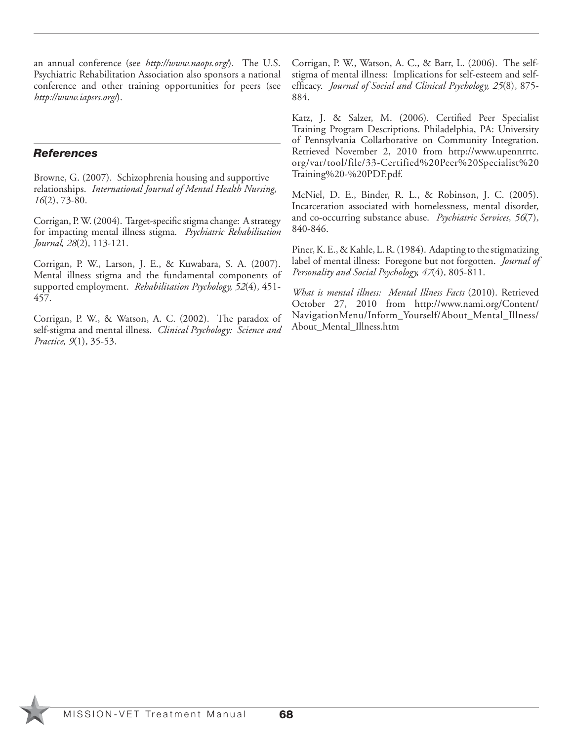an annual conference (see *http://www.naops.org/*). The U.S. Psychiatric Rehabilitation Association also sponsors a national conference and other training opportunities for peers (see *http://www.iapsrs.org/*).

#### *References*

Browne, G. (2007). Schizophrenia housing and supportive relationships. *International Journal of Mental Health Nursing, 16*(2)*,* 73-80.

Corrigan, P. W. (2004). Target-specific stigma change: A strategy for impacting mental illness stigma. *Psychiatric Rehabilitation Journal, 28*(2)*,* 113-121.

Corrigan, P. W., Larson, J. E., & Kuwabara, S. A. (2007). Mental illness stigma and the fundamental components of supported employment. *Rehabilitation Psychology, 52*(4)*,* 451- 457.

Corrigan, P. W., & Watson, A. C. (2002). The paradox of self-stigma and mental illness. *Clinical Psychology: Science and Practice, 9*(1)*,* 35-53.

Corrigan, P. W., Watson, A. C., & Barr, L. (2006). The selfstigma of mental illness: Implications for self-esteem and selfefficacy. *Journal of Social and Clinical Psychology, 25*(8)*,* 875- 884.

Katz, J. & Salzer, M. (2006). Certified Peer Specialist Training Program Descriptions. Philadelphia, PA: University of Pennsylvania Collarborative on Community Integration. Retrieved November 2, 2010 from http://www.upennrrtc. org/var/tool/file/33-Certified%20Peer%20Specialist%20 Training%20-%20PDF.pdf.

McNiel, D. E., Binder, R. L., & Robinson, J. C. (2005). Incarceration associated with homelessness, mental disorder, and co-occurring substance abuse. *Psychiatric Services, 56*(7)*,* 840-846.

Piner, K. E., & Kahle, L. R. (1984). Adapting to the stigmatizing label of mental illness: Foregone but not forgotten. *Journal of Personality and Social Psychology, 47*(4)*,* 805-811.

*What is mental illness: Mental Illness Facts* (2010). Retrieved October 27, 2010 from http://www.nami.org/Content/ NavigationMenu/Inform\_Yourself/About\_Mental\_Illness/ About\_Mental\_Illness.htm